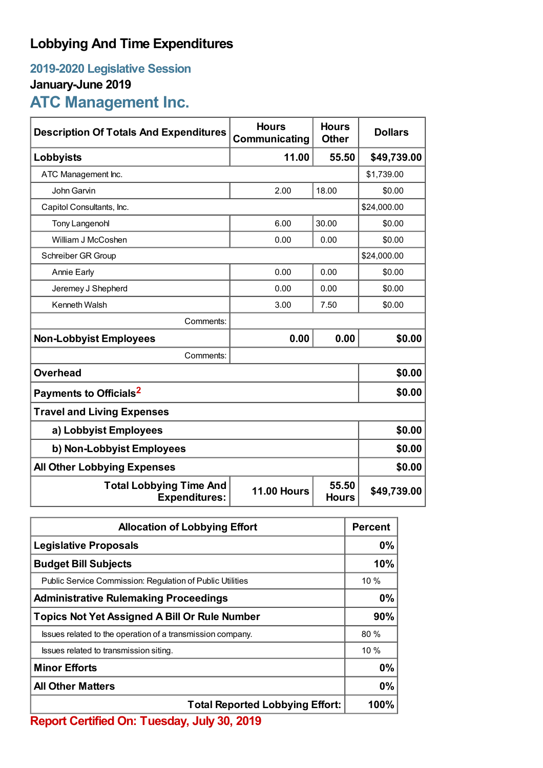## **Lobbying And Time Expenditures**

### **2019-2020 Legislative Session**

### **January-June 2019**

# **ATC Management Inc.**

| <b>Description Of Totals And Expenditures</b>          | <b>Hours</b><br>Communicating | <b>Hours</b><br><b>Other</b> | <b>Dollars</b> |  |
|--------------------------------------------------------|-------------------------------|------------------------------|----------------|--|
| Lobbyists                                              | 11.00                         | 55.50                        | \$49,739.00    |  |
| ATC Management Inc.                                    |                               |                              | \$1,739.00     |  |
| John Garvin                                            | 2.00                          | 18.00                        | \$0.00         |  |
| Capitol Consultants, Inc.                              |                               |                              | \$24,000.00    |  |
| <b>Tony Langenohl</b>                                  | 6.00                          | 30.00                        | \$0.00         |  |
| William J McCoshen                                     | 0.00                          | 0.00                         | \$0.00         |  |
| Schreiber GR Group                                     |                               |                              | \$24,000.00    |  |
| <b>Annie Early</b>                                     | 0.00                          | 0.00                         | \$0.00         |  |
| Jeremey J Shepherd                                     | 0.00                          | 0.00                         | \$0.00         |  |
| Kenneth Walsh                                          | 3.00                          | 7.50                         | \$0.00         |  |
| Comments:                                              |                               |                              |                |  |
| <b>Non-Lobbyist Employees</b>                          | 0.00                          | 0.00                         | \$0.00         |  |
| Comments:                                              |                               |                              |                |  |
| <b>Overhead</b>                                        |                               |                              | \$0.00         |  |
| Payments to Officials <sup>2</sup>                     |                               |                              | \$0.00         |  |
| <b>Travel and Living Expenses</b>                      |                               |                              |                |  |
| a) Lobbyist Employees                                  |                               |                              | \$0.00         |  |
| b) Non-Lobbyist Employees                              | \$0.00                        |                              |                |  |
| <b>All Other Lobbying Expenses</b>                     | \$0.00                        |                              |                |  |
| <b>Total Lobbying Time And</b><br><b>Expenditures:</b> | <b>11.00 Hours</b>            | 55.50<br><b>Hours</b>        | \$49,739.00    |  |

| <b>Allocation of Lobbying Effort</b>                       |      |
|------------------------------------------------------------|------|
| <b>Legislative Proposals</b>                               |      |
| <b>Budget Bill Subjects</b>                                |      |
| Public Service Commission: Regulation of Public Utilities  | 10%  |
| <b>Administrative Rulemaking Proceedings</b>               |      |
| <b>Topics Not Yet Assigned A Bill Or Rule Number</b>       | 90%  |
| Issues related to the operation of a transmission company. | 80%  |
| Issues related to transmission siting.                     | 10%  |
| <b>Minor Efforts</b>                                       | 0%   |
| <b>All Other Matters</b>                                   | 0%   |
| <b>Total Reported Lobbying Effort:</b>                     | 100% |

**Report Certified On: Tuesday, July 30, 2019**